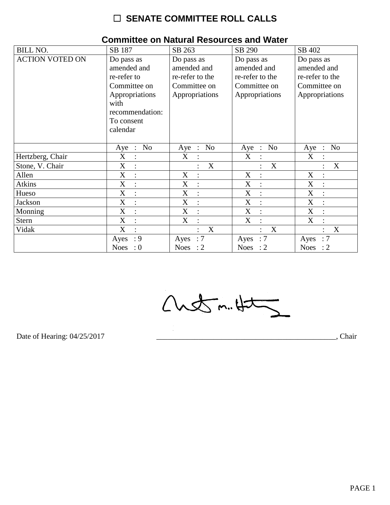# $\Box$  SENATE COMMITTEE ROLL CALLS

| <b>BILL NO.</b>        | SB 187                                                                                                                          | SB 263                                                                         | SB 290                                                                         | SB 402                                                                         |
|------------------------|---------------------------------------------------------------------------------------------------------------------------------|--------------------------------------------------------------------------------|--------------------------------------------------------------------------------|--------------------------------------------------------------------------------|
| <b>ACTION VOTED ON</b> | Do pass as<br>amended and<br>re-refer to<br>Committee on<br>Appropriations<br>with<br>recommendation:<br>To consent<br>calendar | Do pass as<br>amended and<br>re-refer to the<br>Committee on<br>Appropriations | Do pass as<br>amended and<br>re-refer to the<br>Committee on<br>Appropriations | Do pass as<br>amended and<br>re-refer to the<br>Committee on<br>Appropriations |
|                        | N <sub>o</sub><br>Aye :                                                                                                         | N <sub>o</sub><br>$Aye$ :                                                      | N <sub>o</sub><br>$Aye$ :                                                      | N <sub>o</sub><br>Aye<br>$\cdot$ :                                             |
| Hertzberg, Chair       | X<br>$\ddot{\cdot}$                                                                                                             | X                                                                              | X                                                                              | X                                                                              |
| Stone, V. Chair        | X<br>$\ddot{\cdot}$                                                                                                             | X                                                                              | X                                                                              | X                                                                              |
| Allen                  | X<br>$\ddot{\cdot}$                                                                                                             | X                                                                              | X<br>$\ddot{\cdot}$                                                            | X                                                                              |
| <b>Atkins</b>          | X<br>$\overline{\mathcal{C}}$                                                                                                   | X<br>$\overline{\mathcal{C}}$                                                  | X<br>$\overline{\mathcal{L}}$                                                  | X<br>$\cdot$                                                                   |
| Hueso                  | X<br>$\ddot{\cdot}$                                                                                                             | $\boldsymbol{X}$<br>$\ddot{\cdot}$                                             | $\boldsymbol{X}$<br>$\ddot{\cdot}$                                             | X                                                                              |
| Jackson                | $\boldsymbol{\mathrm{X}}$<br>$\ddot{\cdot}$                                                                                     | X<br>$\ddot{\cdot}$                                                            | X                                                                              | $\boldsymbol{\mathrm{X}}$                                                      |
| Monning                | $\mathbf X$<br>$\cdot$                                                                                                          | X<br>$\ddot{\cdot}$                                                            | X<br>$\cdot$                                                                   | X<br>$\cdot$                                                                   |
| <b>Stern</b>           | $\mathbf X$<br>$\ddot{\cdot}$                                                                                                   | X<br>$\ddot{\cdot}$                                                            | X<br>$\ddot{\cdot}$                                                            | X                                                                              |
| Vidak                  | X<br>$\ddot{\cdot}$                                                                                                             | X<br>٠                                                                         | X                                                                              | X                                                                              |
|                        | : 9<br>Ayes                                                                                                                     | :7<br>Ayes                                                                     | $\therefore 7$<br>Ayes                                                         | :7<br>Ayes                                                                     |
|                        | <b>Noes</b><br>$\therefore 0$                                                                                                   | Noes : $2$                                                                     | Noes : $2$                                                                     | Noes : $2$                                                                     |

### **Committee on Natural Resources and Water**

 $Custm.4t$ 

Date of Hearing: 04/25/2017

Chair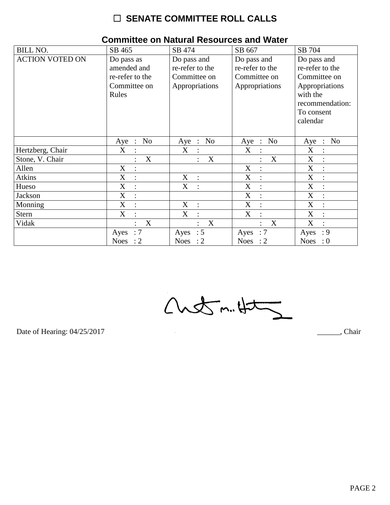# $\Box$  SENATE COMMITTEE ROLL CALLS

| <b>BILL NO.</b>        | SB 465                                                                | SB 474                                                           | SB 667                                                           | SB 704                                                                                                        |
|------------------------|-----------------------------------------------------------------------|------------------------------------------------------------------|------------------------------------------------------------------|---------------------------------------------------------------------------------------------------------------|
| <b>ACTION VOTED ON</b> | Do pass as<br>amended and<br>re-refer to the<br>Committee on<br>Rules | Do pass and<br>re-refer to the<br>Committee on<br>Appropriations | Do pass and<br>re-refer to the<br>Committee on<br>Appropriations | Do pass and<br>re-refer to the<br>Committee on<br>Appropriations<br>with the<br>recommendation:<br>To consent |
|                        | N <sub>o</sub><br>$\cdot$ :                                           | No                                                               | N <sub>o</sub>                                                   | calendar<br>N <sub>o</sub>                                                                                    |
|                        | Aye                                                                   | Aye<br>$\mathbb{R}$                                              | Aye<br>$\mathbb{R}$                                              | Aye<br>$\ddot{\cdot}$                                                                                         |
| Hertzberg, Chair       | X<br>$\ddot{\cdot}$                                                   | X<br>$\ddot{\cdot}$                                              | X                                                                | X                                                                                                             |
| Stone, V. Chair        | X                                                                     | X<br>$\ddot{\cdot}$                                              | X                                                                | X                                                                                                             |
| Allen                  | X                                                                     |                                                                  | X<br>$\ddot{\cdot}$                                              | X<br>$\ddot{\cdot}$                                                                                           |
| <b>Atkins</b>          | X<br>$\vdots$                                                         | X<br>$\ddot{\cdot}$                                              | X<br>$\vdots$                                                    | X                                                                                                             |
| Hueso                  | X<br>$\ddot{\cdot}$                                                   | X<br>$\ddot{\cdot}$                                              | $\boldsymbol{X}$                                                 | X                                                                                                             |
| Jackson                | X<br>$\ddot{\cdot}$                                                   |                                                                  | X<br>$\ddot{\cdot}$                                              | X<br>$\bullet$                                                                                                |
| Monning                | X                                                                     | X<br>$\ddot{\cdot}$                                              | X<br>$\ddot{\cdot}$                                              | X                                                                                                             |
| <b>Stern</b>           | $\boldsymbol{\mathrm{X}}$                                             | X<br>$\ddot{\cdot}$                                              | $\boldsymbol{\mathrm{X}}$                                        | X                                                                                                             |
| Vidak                  | X                                                                     | $\mathbf X$<br>÷                                                 | X<br>$\ddot{\cdot}$                                              | X                                                                                                             |
|                        | $\therefore 7$<br>Ayes                                                | $\therefore$ 5<br>Ayes                                           | $\therefore 7$<br>Ayes                                           | : 9<br>Ayes                                                                                                   |
|                        | Noes : $2$                                                            | Noes : $2$                                                       | Noes : $2$                                                       | Noes : $0$                                                                                                    |

#### **Committee on Natural Resources and Water**

 $Custm.4t$ 

Date of Hearing: 04/25/2017

Chair